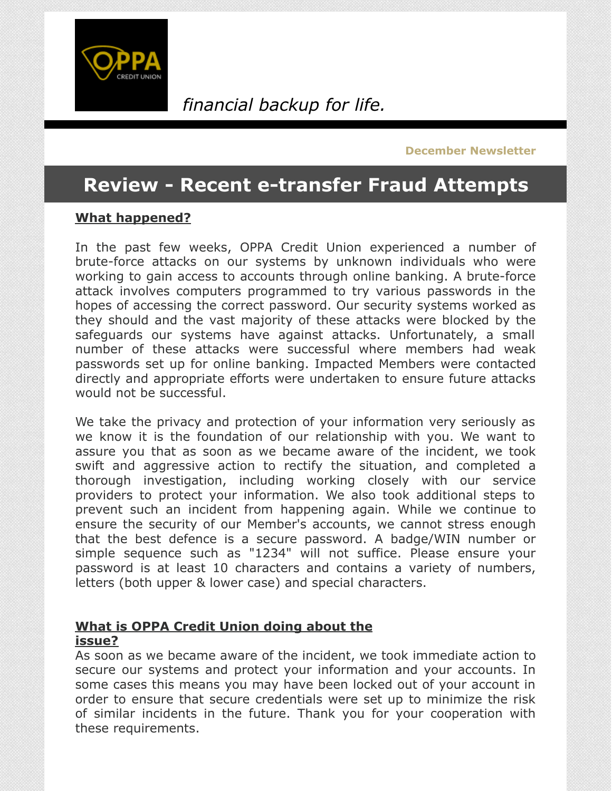

### *financial backup for life.*

**December Newsletter**

### **Review - Recent e-transfer Fraud Attempts**

#### **What happened?**

In the past few weeks, OPPA Credit Union experienced a number of brute-force attacks on our systems by unknown individuals who were working to gain access to accounts through online banking. A brute-force attack involves computers programmed to try various passwords in the hopes of accessing the correct password. Our security systems worked as they should and the vast majority of these attacks were blocked by the safeguards our systems have against attacks. Unfortunately, a small number of these attacks were successful where members had weak passwords set up for online banking. Impacted Members were contacted directly and appropriate efforts were undertaken to ensure future attacks would not be successful.

We take the privacy and protection of your information very seriously as we know it is the foundation of our relationship with you. We want to assure you that as soon as we became aware of the incident, we took swift and aggressive action to rectify the situation, and completed a thorough investigation, including working closely with our service providers to protect your information. We also took additional steps to prevent such an incident from happening again. While we continue to ensure the security of our Member's accounts, we cannot stress enough that the best defence is a secure password. A badge/WIN number or simple sequence such as "1234" will not suffice. Please ensure your password is at least 10 characters and contains a variety of numbers, letters (both upper & lower case) and special characters.

#### **What is OPPA Credit Union doing about the issue?**

As soon as we became aware of the incident, we took immediate action to secure our systems and protect your information and your accounts. In some cases this means you may have been locked out of your account in order to ensure that secure credentials were set up to minimize the risk of similar incidents in the future. Thank you for your cooperation with these requirements.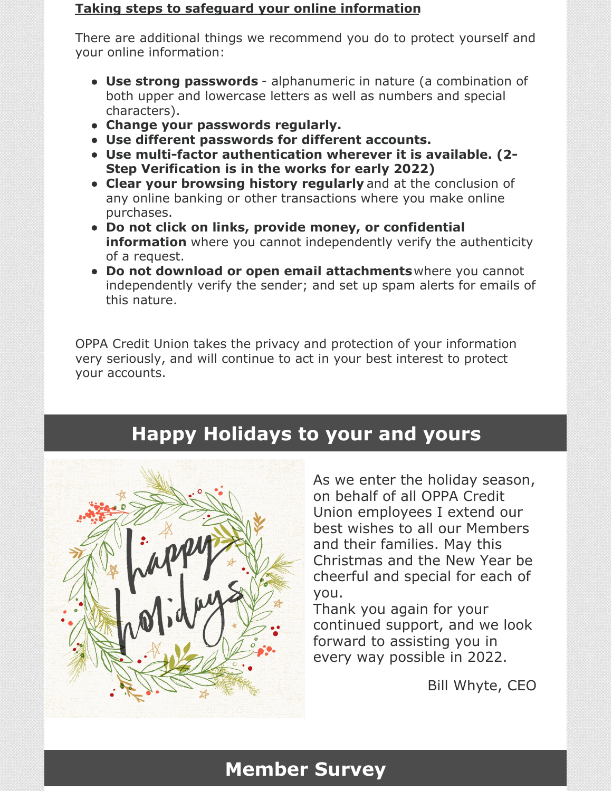#### **Taking steps to safeguard your online information**

There are additional things we recommend you do to protect yourself and your online information:

- **Use strong passwords** alphanumeric in nature (a combination of both upper and lowercase letters as well as numbers and special characters).
- **Change your passwords regularly.**
- **Use different passwords for different accounts.**
- **Use multi-factor authentication wherever it is available. (2- Step Verification is in the works for early 2022)**
- **Clear your browsing history regularly** and at the conclusion of any online banking or other transactions where you make online purchases.
- **Do not click on links, provide money, or confidential information** where you cannot independently verify the authenticity of a request.
- **Do not download or open email attachments**where you cannot independently verify the sender; and set up spam alerts for emails of this nature.

OPPA Credit Union takes the privacy and protection of your information very seriously, and will continue to act in your best interest to protect your accounts.

## **Happy Holidays to your and yours**



As we enter the holiday season, on behalf of all OPPA Credit Union employees I extend our best wishes to all our Members and their families. May this Christmas and the New Year be cheerful and special for each of you.

Thank you again for your continued support, and we look forward to assisting you in every way possible in 2022.

Bill Whyte, CEO

### **Member Survey**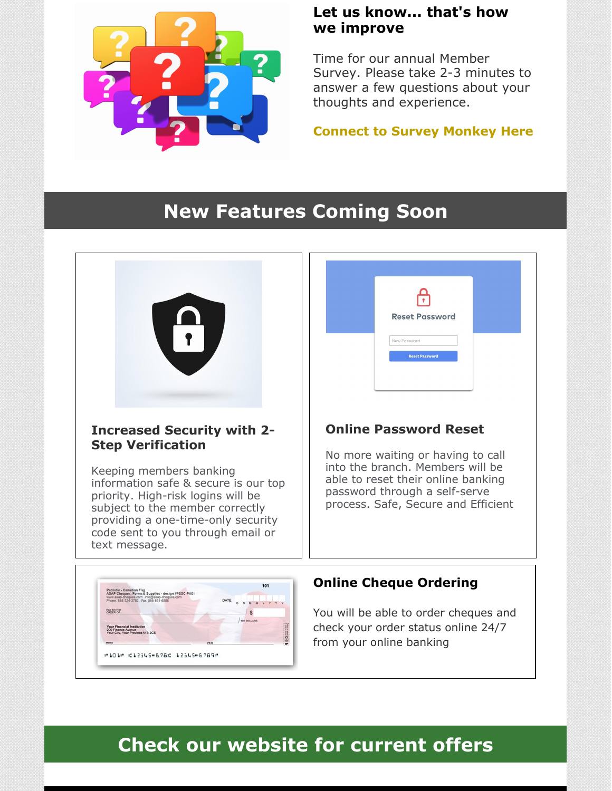

#101\* 012345\*6780 12345\*6789\*

### **Let us know... that's how we improve**

Time for our annual Member Survey. Please take 2-3 minutes to answer a few questions about your thoughts and experience.

**[Connect](https://www.surveymonkey.com/r/2021OPPACUMemberSurvey) to Survey Monkey Here**

## **New Features Coming Soon**

| <b>Increased Security with 2-</b>                                                                                                                                                                                                         | <b>Reset Password</b>                                                                                         |
|-------------------------------------------------------------------------------------------------------------------------------------------------------------------------------------------------------------------------------------------|---------------------------------------------------------------------------------------------------------------|
| <b>Step Verification</b>                                                                                                                                                                                                                  | New Password                                                                                                  |
| Keeping members banking                                                                                                                                                                                                                   | <b>Reset Password</b>                                                                                         |
| information safe & secure is our top                                                                                                                                                                                                      | <b>Online Password Reset</b>                                                                                  |
| priority. High-risk logins will be                                                                                                                                                                                                        | No more waiting or having to call                                                                             |
| subject to the member correctly                                                                                                                                                                                                           | into the branch. Members will be                                                                              |
| providing a one-time-only security                                                                                                                                                                                                        | able to reset their online banking                                                                            |
| code sent to you through email or                                                                                                                                                                                                         | password through a self-serve                                                                                 |
| text message.                                                                                                                                                                                                                             | process. Safe, Secure and Efficient                                                                           |
| 101<br>Patriotic - Canadian Flag<br>ASAP Cheques, Forms & Supplies - design #PSSC-PAD1<br>www.asap-cheques.com info@asap-cheq<br>Phone: 888-324-3783 Fax: 868-861-6586<br>100 DOLLARS<br>Your Financial Institution<br>200 Finance Avenue | <b>Online Cheque Ordering</b><br>You will be able to order cheques and<br>check your order status online 24/7 |

# **Check our website for current offers**

from your online banking